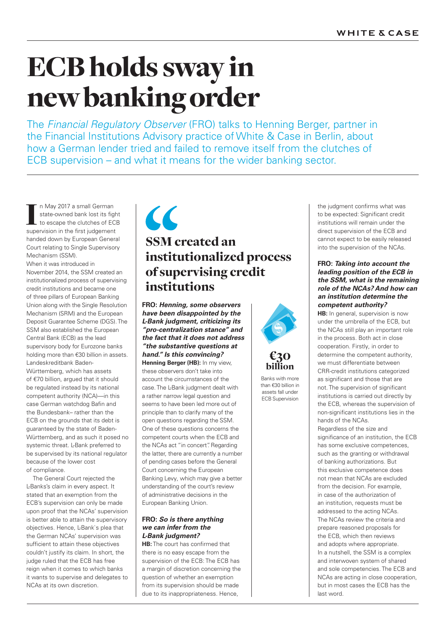# ECB holds sway in new banking order

The *Financial Regulatory Observer* (FRO) talks to Henning Berger, partner in the Financial Institutions Advisory practice of White & Case in Berlin, about how a German lender tried and failed to remove itself from the clutches of ECB supervision – and what it means for the wider banking sector.

I In May 2017 a small German<br>state-owned bank lost its fight<br>to escape the clutches of ECI<br>supervision in the first judgement n May 2017 a small German state-owned bank lost its fight to escape the clutches of ECB handed down by European General Court relating to Single Supervisory Mechanism (SSM).

When it was introduced in November 2014, the SSM created an institutionalized process of supervising credit institutions and became one of three pillars of European Banking Union along with the Single Resolution Mechanism (SRM) and the European Deposit Guarantee Scheme (DGS). The SSM also established the European Central Bank (ECB) as the lead supervisory body for Eurozone banks holding more than €30 billion in assets. Landeskreditbank Baden-Württemberg, which has assets of €70 billion, argued that it should be regulated instead by its national competent authority (NCA)—in this case German watchdog Bafin and the Bundesbank– rather than the ECB on the grounds that its debt is guaranteed by the state of Baden-Württemberg, and as such it posed no systemic threat. L-Bank preferred to be supervised by its national regulator because of the lower cost of compliance.

The General Court rejected the L-Banks's claim in every aspect. It stated that an exemption from the ECB's supervision can only be made upon proof that the NCAs' supervision is better able to attain the supervisory objectives. Hence, L-Bank`s plea that the German NCAs' supervision was sufficient to attain these objectives couldn't justify its claim. In short, the judge ruled that the ECB has free reign when it comes to which banks it wants to supervise and delegates to NCAs at its own discretion.

### $\epsilon$ SSM created an institutionalized process of supervising credit institutions

**FRO:** *Henning, some observers have been disappointed by the L-Bank judgment, criticizing its "pro-centralization stance" and the fact that it does not address "the substantive questions at hand." Is this convincing?* 

**Henning Berger (HB):** In my view, these observers don't take into account the circumstances of the case. The L-Bank judgment dealt with a rather narrow legal question and seems to have been led more out of principle than to clarify many of the open questions regarding the SSM. One of these questions concerns the competent courts when the ECB and the NCAs act "in concert". Regarding the latter, there are currently a number of pending cases before the General Court concerning the European Banking Levy, which may give a better understanding of the court's review of administrative decisions in the European Banking Union.

#### **FRO:** *So is there anything we can infer from the L-Bank judgment?*

**HB:** The court has confirmed that there is no easy escape from the supervision of the ECB: The ECB has a margin of discretion concerning the question of whether an exemption from its supervision should be made due to its inappropriateness. Hence,





Banks with more than €30 billion in assets fall under ECB Supervision

the judgment confirms what was to be expected: Significant credit institutions will remain under the direct supervision of the ECB and cannot expect to be easily released into the supervision of the NCAs.

#### **FRO:** *Taking into account the leading position of the ECB in the SSM, what is the remaining role of the NCAs? And how can an institution determine the competent authority?*

**HB:** In general, supervision is now under the umbrella of the ECB, but the NCAs still play an important role in the process. Both act in close cooperation. Firstly, in order to determine the competent authority, we must differentiate between CRR-credit institutions categorized as significant and those that are not. The supervision of significant institutions is carried out directly by the ECB, whereas the supervision of non-significant institutions lies in the hands of the NCAs.

Regardless of the size and significance of an institution, the ECB has some exclusive competences, such as the granting or withdrawal of banking authorizations. But this exclusive competence does not mean that NCAs are excluded from the decision. For example, in case of the authorization of an institution, requests must be addressed to the acting NCAs. The NCAs review the criteria and prepare reasoned proposals for the ECB, which then reviews and adopts where appropriate. In a nutshell, the SSM is a complex and interwoven system of shared and sole competencies. The ECB and NCAs are acting in close cooperation, but in most cases the ECB has the last word.